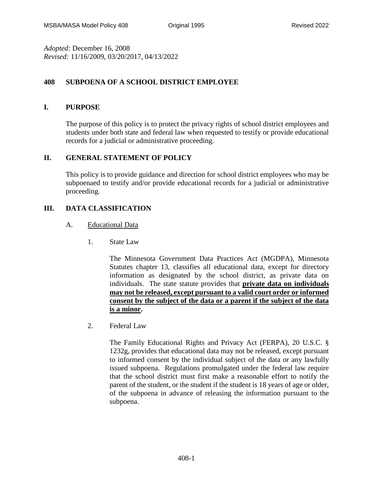*Adopted:* December 16, 2008 *Revised:* 11/16/2009, 03/20/2017, 04/13/2022

# **408 SUBPOENA OF A SCHOOL DISTRICT EMPLOYEE**

## **I. PURPOSE**

The purpose of this policy is to protect the privacy rights of school district employees and students under both state and federal law when requested to testify or provide educational records for a judicial or administrative proceeding.

## **II. GENERAL STATEMENT OF POLICY**

This policy is to provide guidance and direction for school district employees who may be subpoenaed to testify and/or provide educational records for a judicial or administrative proceeding.

## **III. DATA CLASSIFICATION**

## A. Educational Data

1. State Law

The Minnesota Government Data Practices Act (MGDPA), Minnesota Statutes chapter 13, classifies all educational data, except for directory information as designated by the school district, as private data on individuals. The state statute provides that **private data on individuals may not be released, except pursuant to a valid court order or informed consent by the subject of the data or a parent if the subject of the data is a minor.**

2. Federal Law

The Family Educational Rights and Privacy Act (FERPA), 20 U.S.C. § 1232g, provides that educational data may not be released, except pursuant to informed consent by the individual subject of the data or any lawfully issued subpoena. Regulations promulgated under the federal law require that the school district must first make a reasonable effort to notify the parent of the student, or the student if the student is 18 years of age or older, of the subpoena in advance of releasing the information pursuant to the subpoena.